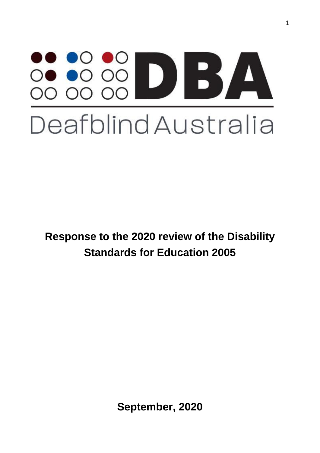# Deafblind Australia

**Response to the 2020 review of the Disability Standards for Education 2005**

**September, 2020**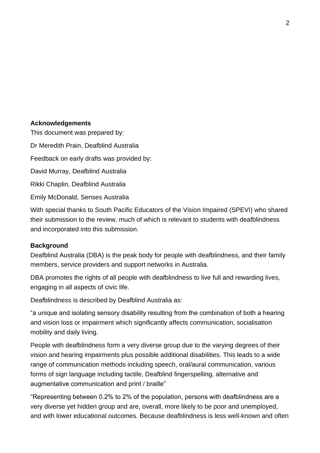#### **Acknowledgements**

This document was prepared by: Dr Meredith Prain, Deafblind Australia Feedback on early drafts was provided by: David Murray, Deafblind Australia Rikki Chaplin, Deafblind Australia Emily McDonald, Senses Australia

With special thanks to South Pacific Educators of the Vision Impaired (SPEVI) who shared their submission to the review, much of which is relevant to students with deafblindness and incorporated into this submission.

## **Background**

Deafblind Australia (DBA) is the peak body for people with deafblindness, and their family members, service providers and support networks in Australia.

DBA promotes the rights of all people with deafblindness to live full and rewarding lives, engaging in all aspects of civic life.

Deafblindness is described by Deafblind Australia as:

"a unique and isolating sensory disability resulting from the combination of both a hearing and vision loss or impairment which significantly affects communication, socialisation mobility and daily living.

People with deafblindness form a very diverse group due to the varying degrees of their vision and hearing impairments plus possible additional disabilities. This leads to a wide range of communication methods including speech, oral/aural communication, various forms of sign language including tactile, Deafblind fingerspelling, alternative and augmentative communication and print / braille"

"Representing between 0.2% to 2% of the population, persons with deafblindness are a very diverse yet hidden group and are, overall, more likely to be poor and unemployed, and with lower educational outcomes. Because deafblindness is less well-known and often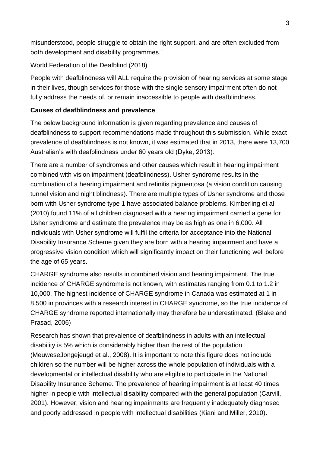misunderstood, people struggle to obtain the right support, and are often excluded from both development and disability programmes."

World Federation of the Deafblind (2018)

People with deafblindness will ALL require the provision of hearing services at some stage in their lives, though services for those with the single sensory impairment often do not fully address the needs of, or remain inaccessible to people with deafblindness.

# **Causes of deafblindness and prevalence**

The below background information is given regarding prevalence and causes of deafblindness to support recommendations made throughout this submission. While exact prevalence of deafblindness is not known, it was estimated that in 2013, there were 13,700 Australian's with deafblindness under 60 years old (Dyke, 2013).

There are a number of syndromes and other causes which result in hearing impairment combined with vision impairment (deafblindness). Usher syndrome results in the combination of a hearing impairment and retinitis pigmentosa (a vision condition causing tunnel vision and night blindness). There are multiple types of Usher syndrome and those born with Usher syndrome type 1 have associated balance problems. Kimberling et al (2010) found 11% of all children diagnosed with a hearing impairment carried a gene for Usher syndrome and estimate the prevalence may be as high as one in 6,000. All individuals with Usher syndrome will fulfil the criteria for acceptance into the National Disability Insurance Scheme given they are born with a hearing impairment and have a progressive vision condition which will significantly impact on their functioning well before the age of 65 years.

CHARGE syndrome also results in combined vision and hearing impairment. The true incidence of CHARGE syndrome is not known, with estimates ranging from 0.1 to 1.2 in 10,000. The highest incidence of CHARGE syndrome in Canada was estimated at 1 in 8,500 in provinces with a research interest in CHARGE syndrome, so the true incidence of CHARGE syndrome reported internationally may therefore be underestimated. (Blake and Prasad, 2006)

Research has shown that prevalence of deafblindness in adults with an intellectual disability is 5% which is considerably higher than the rest of the population (MeuweseJongejeugd et al., 2008). It is important to note this figure does not include children so the number will be higher across the whole population of individuals with a developmental or intellectual disability who are eligible to participate in the National Disability Insurance Scheme. The prevalence of hearing impairment is at least 40 times higher in people with intellectual disability compared with the general population (Carvill, 2001). However, vision and hearing impairments are frequently inadequately diagnosed and poorly addressed in people with intellectual disabilities (Kiani and Miller, 2010).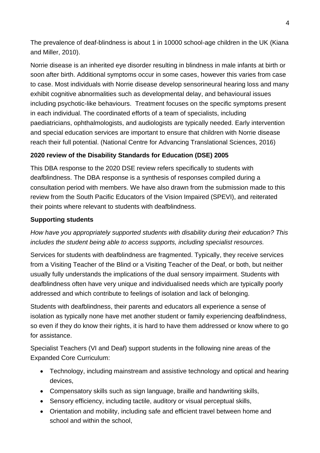The prevalence of deaf-blindness is about 1 in 10000 school-age children in the UK (Kiana and Miller, 2010).

Norrie disease is an inherited eye disorder resulting in blindness in male infants at birth or soon after birth. Additional symptoms occur in some cases, however this varies from case to case. Most individuals with Norrie disease develop sensorineural hearing loss and many exhibit cognitive abnormalities such as developmental delay, and behavioural issues including psychotic-like behaviours. Treatment focuses on the specific symptoms present in each individual. The coordinated efforts of a team of specialists, including paediatricians, ophthalmologists, and audiologists are typically needed. Early intervention and special education services are important to ensure that children with Norrie disease reach their full potential. (National Centre for Advancing Translational Sciences, 2016)

# **2020 review of the Disability Standards for Education (DSE) 2005**

This DBA response to the 2020 DSE review refers specifically to students with deafblindness. The DBA response is a synthesis of responses compiled during a consultation period with members. We have also drawn from the submission made to this review from the South Pacific Educators of the Vision Impaired (SPEVI), and reiterated their points where relevant to students with deafblindness.

# **Supporting students**

*How have you appropriately supported students with disability during their education? This includes the student being able to access supports, including specialist resources.*

Services for students with deafblindness are fragmented. Typically, they receive services from a Visiting Teacher of the Blind or a Visiting Teacher of the Deaf, or both, but neither usually fully understands the implications of the dual sensory impairment. Students with deafblindness often have very unique and individualised needs which are typically poorly addressed and which contribute to feelings of isolation and lack of belonging.

Students with deafblindness, their parents and educators all experience a sense of isolation as typically none have met another student or family experiencing deafblindness, so even if they do know their rights, it is hard to have them addressed or know where to go for assistance.

Specialist Teachers (VI and Deaf) support students in the following nine areas of the Expanded Core Curriculum:

- Technology, including mainstream and assistive technology and optical and hearing devices,
- Compensatory skills such as sign language, braille and handwriting skills,
- Sensory efficiency, including tactile, auditory or visual perceptual skills,
- Orientation and mobility, including safe and efficient travel between home and school and within the school,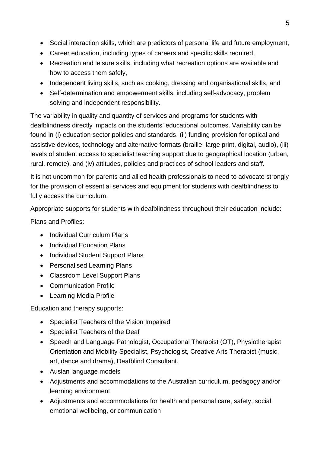- Social interaction skills, which are predictors of personal life and future employment,
- Career education, including types of careers and specific skills required,
- Recreation and leisure skills, including what recreation options are available and how to access them safely,
- Independent living skills, such as cooking, dressing and organisational skills, and
- Self-determination and empowerment skills, including self-advocacy, problem solving and independent responsibility.

The variability in quality and quantity of services and programs for students with deafblindness directly impacts on the students' educational outcomes. Variability can be found in (i) education sector policies and standards, (ii) funding provision for optical and assistive devices, technology and alternative formats (braille, large print, digital, audio), (iii) levels of student access to specialist teaching support due to geographical location (urban, rural, remote), and (iv) attitudes, policies and practices of school leaders and staff.

It is not uncommon for parents and allied health professionals to need to advocate strongly for the provision of essential services and equipment for students with deafblindness to fully access the curriculum.

Appropriate supports for students with deafblindness throughout their education include:

Plans and Profiles:

- Individual Curriculum Plans
- Individual Education Plans
- Individual Student Support Plans
- Personalised Learning Plans
- Classroom Level Support Plans
- Communication Profile
- Learning Media Profile

Education and therapy supports:

- Specialist Teachers of the Vision Impaired
- Specialist Teachers of the Deaf
- Speech and Language Pathologist, Occupational Therapist (OT), Physiotherapist, Orientation and Mobility Specialist, Psychologist, Creative Arts Therapist (music, art, dance and drama), Deafblind Consultant.
- Auslan language models
- Adjustments and accommodations to the Australian curriculum, pedagogy and/or learning environment
- Adjustments and accommodations for health and personal care, safety, social emotional wellbeing, or communication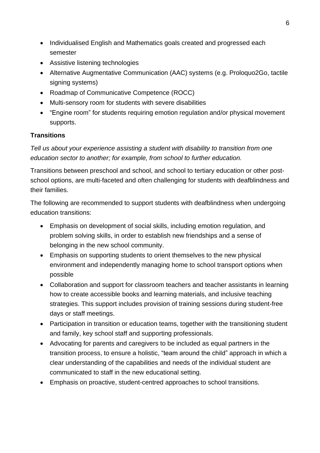- Individualised English and Mathematics goals created and progressed each semester
- Assistive listening technologies
- Alternative Augmentative Communication (AAC) systems (e.g. Proloquo2Go, tactile signing systems)
- Roadmap of Communicative Competence (ROCC)
- Multi-sensory room for students with severe disabilities
- "Engine room" for students requiring emotion regulation and/or physical movement supports.

## **Transitions**

*Tell us about your experience assisting a student with disability to transition from one education sector to another; for example, from school to further education.*

Transitions between preschool and school, and school to tertiary education or other postschool options, are multi-faceted and often challenging for students with deafblindness and their families.

The following are recommended to support students with deafblindness when undergoing education transitions:

- Emphasis on development of social skills, including emotion regulation, and problem solving skills, in order to establish new friendships and a sense of belonging in the new school community.
- Emphasis on supporting students to orient themselves to the new physical environment and independently managing home to school transport options when possible
- Collaboration and support for classroom teachers and teacher assistants in learning how to create accessible books and learning materials, and inclusive teaching strategies. This support includes provision of training sessions during student-free days or staff meetings.
- Participation in transition or education teams, together with the transitioning student and family, key school staff and supporting professionals.
- Advocating for parents and caregivers to be included as equal partners in the transition process, to ensure a holistic, "team around the child" approach in which a clear understanding of the capabilities and needs of the individual student are communicated to staff in the new educational setting.
- Emphasis on proactive, student-centred approaches to school transitions.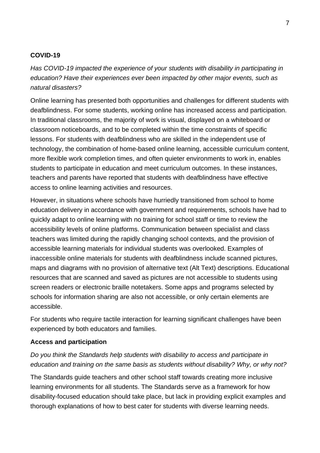#### **COVID-19**

*Has COVID-19 impacted the experience of your students with disability in participating in education? Have their experiences ever been impacted by other major events, such as natural disasters?*

Online learning has presented both opportunities and challenges for different students with deafblindness. For some students, working online has increased access and participation. In traditional classrooms, the majority of work is visual, displayed on a whiteboard or classroom noticeboards, and to be completed within the time constraints of specific lessons. For students with deafblindness who are skilled in the independent use of technology, the combination of home-based online learning, accessible curriculum content, more flexible work completion times, and often quieter environments to work in, enables students to participate in education and meet curriculum outcomes. In these instances, teachers and parents have reported that students with deafblindness have effective access to online learning activities and resources.

However, in situations where schools have hurriedly transitioned from school to home education delivery in accordance with government and requirements, schools have had to quickly adapt to online learning with no training for school staff or time to review the accessibility levels of online platforms. Communication between specialist and class teachers was limited during the rapidly changing school contexts, and the provision of accessible learning materials for individual students was overlooked. Examples of inaccessible online materials for students with deafblindness include scanned pictures, maps and diagrams with no provision of alternative text (Alt Text) descriptions. Educational resources that are scanned and saved as pictures are not accessible to students using screen readers or electronic braille notetakers. Some apps and programs selected by schools for information sharing are also not accessible, or only certain elements are accessible.

For students who require tactile interaction for learning significant challenges have been experienced by both educators and families.

#### **Access and participation**

# *Do you think the Standards help students with disability to access and participate in education and training on the same basis as students without disability? Why, or why not?*

The Standards guide teachers and other school staff towards creating more inclusive learning environments for all students. The Standards serve as a framework for how disability-focused education should take place, but lack in providing explicit examples and thorough explanations of how to best cater for students with diverse learning needs.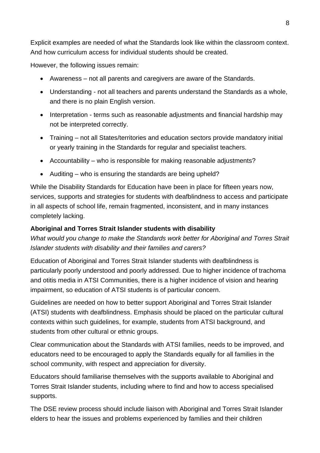Explicit examples are needed of what the Standards look like within the classroom context. And how curriculum access for individual students should be created.

However, the following issues remain:

- Awareness not all parents and caregivers are aware of the Standards.
- Understanding not all teachers and parents understand the Standards as a whole, and there is no plain English version.
- Interpretation terms such as reasonable adjustments and financial hardship may not be interpreted correctly.
- Training not all States/territories and education sectors provide mandatory initial or yearly training in the Standards for regular and specialist teachers.
- Accountability who is responsible for making reasonable adjustments?
- Auditing who is ensuring the standards are being upheld?

While the Disability Standards for Education have been in place for fifteen years now, services, supports and strategies for students with deafblindness to access and participate in all aspects of school life, remain fragmented, inconsistent, and in many instances completely lacking.

## **Aboriginal and Torres Strait Islander students with disability**

*What would you change to make the Standards work better for Aboriginal and Torres Strait Islander students with disability and their families and carers?*

Education of Aboriginal and Torres Strait Islander students with deafblindness is particularly poorly understood and poorly addressed. Due to higher incidence of trachoma and otitis media in ATSI Communities, there is a higher incidence of vision and hearing impairment, so education of ATSI students is of particular concern.

Guidelines are needed on how to better support Aboriginal and Torres Strait Islander (ATSI) students with deafblindness. Emphasis should be placed on the particular cultural contexts within such guidelines, for example, students from ATSI background, and students from other cultural or ethnic groups.

Clear communication about the Standards with ATSI families, needs to be improved, and educators need to be encouraged to apply the Standards equally for all families in the school community, with respect and appreciation for diversity.

Educators should familiarise themselves with the supports available to Aboriginal and Torres Strait Islander students, including where to find and how to access specialised supports.

The DSE review process should include liaison with Aboriginal and Torres Strait Islander elders to hear the issues and problems experienced by families and their children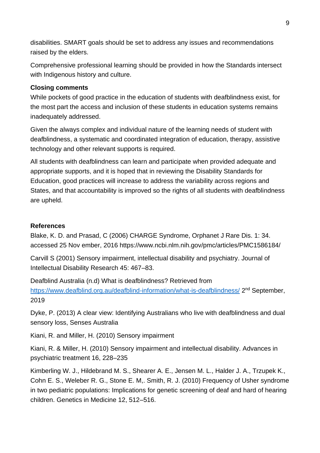disabilities. SMART goals should be set to address any issues and recommendations raised by the elders.

Comprehensive professional learning should be provided in how the Standards intersect with Indigenous history and culture.

## **Closing comments**

While pockets of good practice in the education of students with deafblindness exist, for the most part the access and inclusion of these students in education systems remains inadequately addressed.

Given the always complex and individual nature of the learning needs of student with deafblindness, a systematic and coordinated integration of education, therapy, assistive technology and other relevant supports is required.

All students with deafblindness can learn and participate when provided adequate and appropriate supports, and it is hoped that in reviewing the Disability Standards for Education, good practices will increase to address the variability across regions and States, and that accountability is improved so the rights of all students with deafblindness are upheld.

## **References**

Blake, K. D. and Prasad, C (2006) CHARGE Syndrome, Orphanet J Rare Dis. 1: 34. accessed 25 Nov ember, 2016 https://www.ncbi.nlm.nih.gov/pmc/articles/PMC1586184/

Carvill S (2001) Sensory impairment, intellectual disability and psychiatry. Journal of Intellectual Disability Research 45: 467–83.

Deafblind Australia (n.d) What is deafblindness? Retrieved from <https://www.deafblind.org.au/deafblind-information/what-is-deafblindness/> 2<sup>nd</sup> September, 2019

Dyke, P. (2013) A clear view: Identifying Australians who live with deafblindness and dual sensory loss, Senses Australia

Kiani, R. and Miller, H. (2010) Sensory impairment

Kiani, R. & Miller, H. (2010) Sensory impairment and intellectual disability. Advances in psychiatric treatment 16, 228–235

Kimberling W. J., Hildebrand M. S., Shearer A. E., Jensen M. L., Halder J. A., Trzupek K., Cohn E. S., Weleber R. G., Stone E. M,. Smith, R. J. (2010) Frequency of Usher syndrome in two pediatric populations: Implications for genetic screening of deaf and hard of hearing children. Genetics in Medicine 12, 512–516.